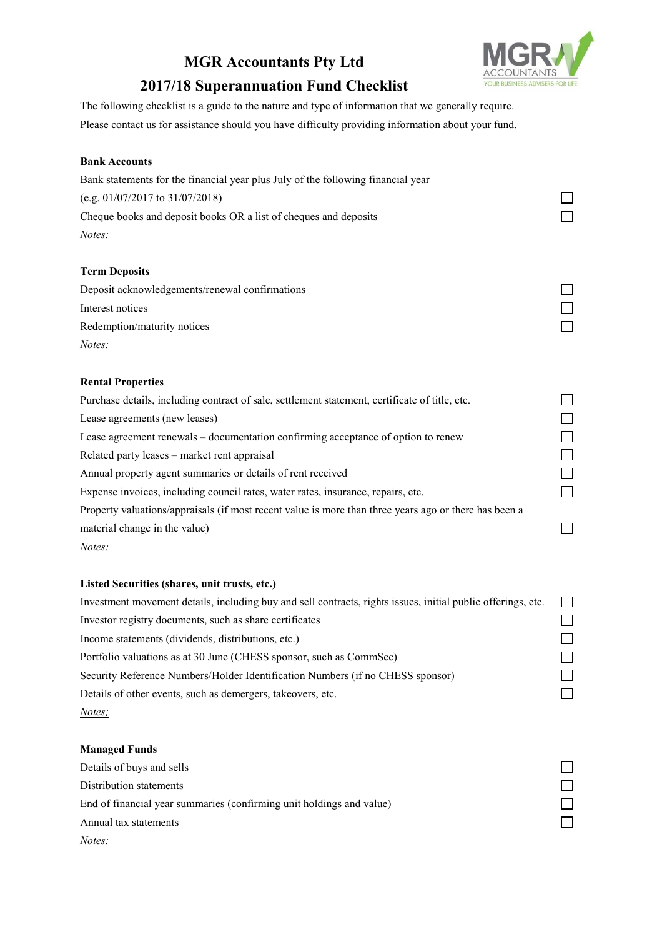# **MGR Accountants Pty Ltd 2017/18 Superannuation Fund Checklist**



 $\Box$  $\Box$  $\Box$ 

 $\Box$ 

## The following checklist is a guide to the nature and type of information that we generally require. Please contact us for assistance should you have difficulty providing information about your fund.

### **Bank Accounts**

| Bank statements for the financial year plus July of the following financial year               |  |
|------------------------------------------------------------------------------------------------|--|
| (e.g. $01/07/2017$ to $31/07/2018$ )                                                           |  |
| Cheque books and deposit books OR a list of cheques and deposits                               |  |
| <i>Notes:</i>                                                                                  |  |
|                                                                                                |  |
| <b>Term Deposits</b>                                                                           |  |
| Deposit acknowledgements/renewal confirmations                                                 |  |
| Interest notices                                                                               |  |
| Redemption/maturity notices                                                                    |  |
| Notes:                                                                                         |  |
| <b>Rental Properties</b>                                                                       |  |
| Purchase details, including contract of sale, settlement statement, certificate of title, etc. |  |
| Lease agreements (new leases)                                                                  |  |
| Lease agreement renewals – documentation confirming acceptance of option to renew              |  |

Related party leases – market rent appraisal

Annual property agent summaries or details of rent received

Expense invoices, including council rates, water rates, insurance, repairs, etc.

Property valuations/appraisals (if most recent value is more than three years ago or there has been a material change in the value)

#### *Notes:*

#### **Listed Securities (shares, unit trusts, etc.)**

| Investment movement details, including buy and sell contracts, rights issues, initial public offerings, etc. | $\mathcal{L}$  |
|--------------------------------------------------------------------------------------------------------------|----------------|
| Investor registry documents, such as share certificates                                                      |                |
| Income statements (dividends, distributions, etc.)                                                           |                |
| Portfolio valuations as at 30 June (CHESS sponsor, such as CommSec)                                          | $\blacksquare$ |
| Security Reference Numbers/Holder Identification Numbers (if no CHESS sponsor)                               | $\blacksquare$ |
| Details of other events, such as demergers, takeovers, etc.                                                  |                |
| Notes;                                                                                                       |                |

#### **Managed Funds**

| Details of buys and sells                                            |  |
|----------------------------------------------------------------------|--|
| Distribution statements                                              |  |
| End of financial year summaries (confirming unit holdings and value) |  |
| Annual tax statements                                                |  |
| Notes:                                                               |  |